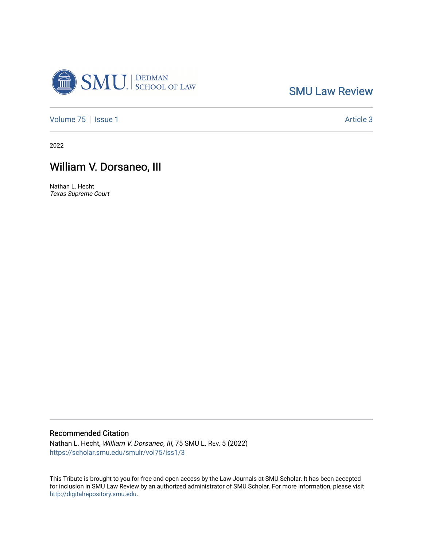

[SMU Law Review](https://scholar.smu.edu/smulr) 

[Volume 75](https://scholar.smu.edu/smulr/vol75) | [Issue 1](https://scholar.smu.edu/smulr/vol75/iss1) Article 3

2022

## William V. Dorsaneo, III

Nathan L. Hecht Texas Supreme Court

## Recommended Citation

Nathan L. Hecht, William V. Dorsaneo, III, 75 SMU L. REV. 5 (2022) [https://scholar.smu.edu/smulr/vol75/iss1/3](https://scholar.smu.edu/smulr/vol75/iss1/3?utm_source=scholar.smu.edu%2Fsmulr%2Fvol75%2Fiss1%2F3&utm_medium=PDF&utm_campaign=PDFCoverPages) 

This Tribute is brought to you for free and open access by the Law Journals at SMU Scholar. It has been accepted for inclusion in SMU Law Review by an authorized administrator of SMU Scholar. For more information, please visit [http://digitalrepository.smu.edu.](http://digitalrepository.smu.edu/)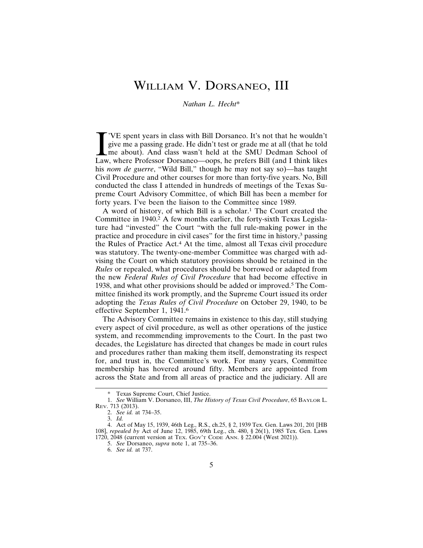## WILLIAM V. DORSANEO, III

## *Nathan L. Hecht*\*

VE spent years in class with Bill Dorsaneo. It's not that he wouldn't give me a passing grade. He didn't test or grade me at all (that he told me about). And class wasn't held at the SMU Dedman School of Law, where Profess 'VE spent years in class with Bill Dorsaneo. It's not that he wouldn't give me a passing grade. He didn't test or grade me at all (that he told me about). And class wasn't held at the SMU Dedman School of his *nom de guerre*, "Wild Bill," though he may not say so)—has taught Civil Procedure and other courses for more than forty-five years. No, Bill conducted the class I attended in hundreds of meetings of the Texas Supreme Court Advisory Committee, of which Bill has been a member for forty years. I've been the liaison to the Committee since 1989.

A word of history, of which Bill is a scholar.1 The Court created the Committee in 1940.<sup>2</sup> A few months earlier, the forty-sixth Texas Legislature had "invested" the Court "with the full rule-making power in the practice and procedure in civil cases" for the first time in history,3 passing the Rules of Practice Act.4 At the time, almost all Texas civil procedure was statutory. The twenty-one-member Committee was charged with advising the Court on which statutory provisions should be retained in the *Rules* or repealed, what procedures should be borrowed or adapted from the new *Federal Rules of Civil Procedure* that had become effective in 1938, and what other provisions should be added or improved.5 The Committee finished its work promptly, and the Supreme Court issued its order adopting the *Texas Rules of Civil Procedure* on October 29, 1940, to be effective September 1, 1941.<sup>6</sup>

The Advisory Committee remains in existence to this day, still studying every aspect of civil procedure, as well as other operations of the justice system, and recommending improvements to the Court. In the past two decades, the Legislature has directed that changes be made in court rules and procedures rather than making them itself, demonstrating its respect for, and trust in, the Committee's work. For many years, Committee membership has hovered around fifty. Members are appointed from across the State and from all areas of practice and the judiciary. All are

Texas Supreme Court, Chief Justice.

<sup>1.</sup> *See* William V. Dorsaneo, III, *The History of Texas Civil Procedure*, 65 BAYLOR L. REV. 713 (2013).

<sup>2.</sup> *See id.* at 734–35.

<sup>3.</sup> *Id.*

<sup>4.</sup> Act of May 15, 1939, 46th Leg., R.S., ch.25, § 2, 1939 Tex. Gen. Laws 201, 201 [HB 108], *repealed by* Act of June 12, 1985, 69th Leg., ch. 480, § 26(1), 1985 Tex. Gen. Laws 1720, 2048 (current version at TEX. GOV'T CODE ANN. § 22.004 (West 2021)).

<sup>5.</sup> *See* Dorsaneo, *supra* note 1, at 735–36.

<sup>6.</sup> *See id.* at 737.